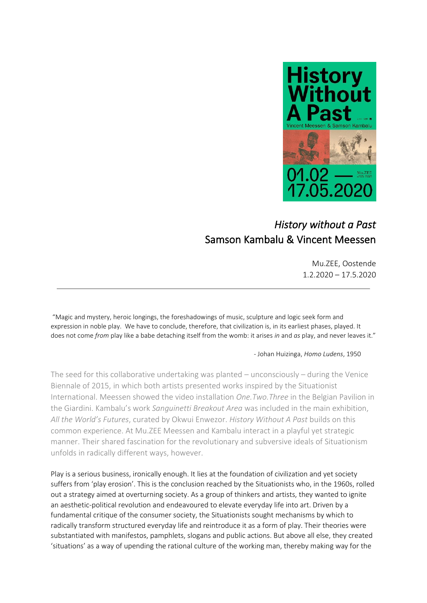

## *History without a Past*  Samson Kambalu & Vincent Meessen

Mu.ZEE, Oostende 1.2.2020 – 17.5.2020

"Magic and mystery, heroic longings, the foreshadowings of music, sculpture and logic seek form and expression in noble play. We have to conclude, therefore, that civilization is, in its earliest phases, played. It does not come *from* play like a babe detaching itself from the womb: it arises *in* and *as* play, and never leaves it."

## - Johan Huizinga, *Homo Ludens*, 1950

The seed for this collaborative undertaking was planted – unconsciously – during the Venice Biennale of 2015, in which both artists presented works inspired by the Situationist International. Meessen showed the video installation *One.Two.Three* in the Belgian Pavilion in the Giardini. Kambalu's work *Sanguinetti Breakout Area* was included in the main exhibition, *All the World's Futures*, curated by Okwui Enwezor. *History Without A Past* builds on this common experience. At Mu.ZEE Meessen and Kambalu interact in a playful yet strategic manner. Their shared fascination for the revolutionary and subversive ideals of Situationism unfolds in radically different ways, however.

Play is a serious business, ironically enough. It lies at the foundation of civilization and yet society suffers from 'play erosion'. This is the conclusion reached by the Situationists who, in the 1960s, rolled out a strategy aimed at overturning society. As a group of thinkers and artists, they wanted to ignite an aesthetic-political revolution and endeavoured to elevate everyday life into art. Driven by a fundamental critique of the consumer society, the Situationists sought mechanisms by which to radically transform structured everyday life and reintroduce it as a form of play. Their theories were substantiated with manifestos, pamphlets, slogans and public actions. But above all else, they created 'situations' as a way of upending the rational culture of the working man, thereby making way for the